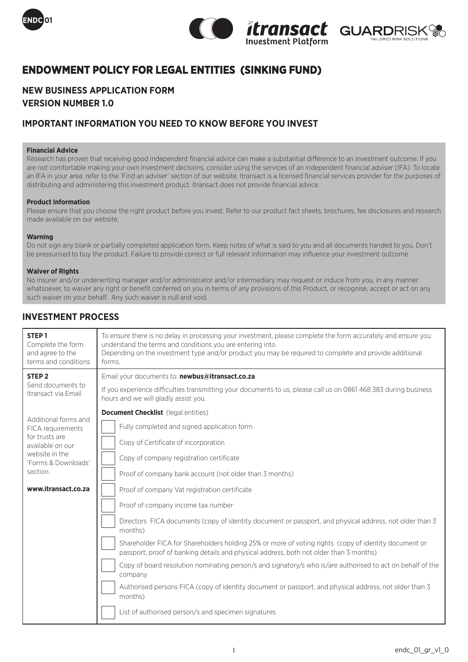





# **ENDOWMENT POLICY FOR LEGAL ENTITIES (SINKING FUND)**

# **NEW BUSINESS APPLICATION FORM VERSION NUMBER 1.0**

### **IMPORTANT INFORMATION YOU NEED TO KNOW BEFORE YOU INVEST**

### **Financial Advice**

Research has proven that receiving good independent financial advice can make a substantial difference to an investment outcome. If you are not comfortable making your own investment decisions, consider using the services of an independent financial adviser (IFA). To locate an IFA in your area, refer to the 'Find an adviser' section of our website. Itransact is a licensed financial services provider for the purposes of distributing and administering this investment product. Itransact does not provide financial advice.

### **Product Information**

Please ensure that you choose the right product before you invest. Refer to our product fact sheets, brochures, fee disclosures and research made available on our website.

### **Warning**

Do not sign any blank or partially completed application form. Keep notes of what is said to you and all documents handed to you. Don't be pressurised to buy the product. Failure to provide correct or full relevant information may influence your investment outcome.

### **Waiver of Rights**

No insurer and/or underwriting manager and/or administrator and/or intermediary may request or induce from you, in any manner whatsoever, to waiver any right or benefit conferred on you in terms of any provisions of this Product, or recognise, accept or act on any such waiver on your behalf. Any such waiver is null and void.

# **INVESTMENT PROCESS**

| STEP <sub>1</sub>                                                                                                                                           | To ensure there is no delay in processing your investment, please complete the form accurately and ensure you                                                                                                                                                                                                                                                                                                                                                                                                                                                                                                                                                                                                                                                                                                                                                                                                                                                |
|-------------------------------------------------------------------------------------------------------------------------------------------------------------|--------------------------------------------------------------------------------------------------------------------------------------------------------------------------------------------------------------------------------------------------------------------------------------------------------------------------------------------------------------------------------------------------------------------------------------------------------------------------------------------------------------------------------------------------------------------------------------------------------------------------------------------------------------------------------------------------------------------------------------------------------------------------------------------------------------------------------------------------------------------------------------------------------------------------------------------------------------|
| Complete the form                                                                                                                                           | understand the terms and conditions you are entering into.                                                                                                                                                                                                                                                                                                                                                                                                                                                                                                                                                                                                                                                                                                                                                                                                                                                                                                   |
| and agree to the                                                                                                                                            | Depending on the investment type and/or product you may be required to complete and provide additional                                                                                                                                                                                                                                                                                                                                                                                                                                                                                                                                                                                                                                                                                                                                                                                                                                                       |
| terms and conditions                                                                                                                                        | forms.                                                                                                                                                                                                                                                                                                                                                                                                                                                                                                                                                                                                                                                                                                                                                                                                                                                                                                                                                       |
| STEP <sub>2</sub>                                                                                                                                           | Email your documents to: newbus@itransact.co.za                                                                                                                                                                                                                                                                                                                                                                                                                                                                                                                                                                                                                                                                                                                                                                                                                                                                                                              |
| Send documents to                                                                                                                                           | If you experience difficulties transmitting your documents to us, please call us on 0861 468 383 during business                                                                                                                                                                                                                                                                                                                                                                                                                                                                                                                                                                                                                                                                                                                                                                                                                                             |
| Itransact via Email                                                                                                                                         | hours and we will gladly assist you.                                                                                                                                                                                                                                                                                                                                                                                                                                                                                                                                                                                                                                                                                                                                                                                                                                                                                                                         |
| Additional forms and<br>FICA requirements<br>for trusts are<br>available on our<br>website in the<br>'Forms & Downloads'<br>section.<br>www.itransact.co.za | <b>Document Checklist</b> (legal entities)<br>Fully completed and signed application form<br>Copy of Certificate of incorporation<br>Copy of company registration certificate<br>Proof of company bank account (not older than 3 months)<br>Proof of company Vat registration certificate<br>Proof of company income tax number<br>Directors FICA documents (copy of identity document or passport, and physical address, not older than 3<br>months)<br>Shareholder FICA for Shareholders holding 25% or more of voting rights (copy of identity document or<br>passport, proof of banking details and physical address, both not older than 3 months)<br>Copy of board resolution nominating person/s and signatory/s who is/are authorised to act on behalf of the<br>company<br>Authorised persons FICA (copy of identity document or passport, and physical address, not older than 3<br>months)<br>List of authorised person/s and specimen signatures |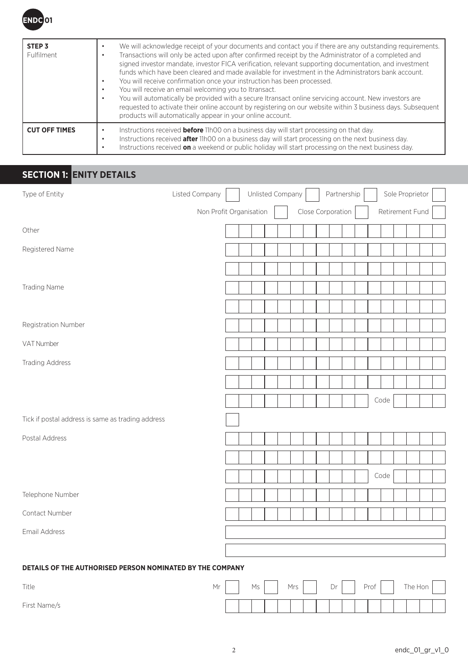

| STEP <sub>3</sub><br><b>Fulfilment</b> | We will acknowledge receipt of your documents and contact you if there are any outstanding requirements.<br>Transactions will only be acted upon after confirmed receipt by the Administrator of a completed and<br>signed investor mandate, investor FICA verification, relevant supporting documentation, and investment<br>funds which have been cleared and made available for investment in the Administrators bank account.<br>You will receive confirmation once your instruction has been processed.<br>You will receive an email welcoming you to Itransact.<br>You will automatically be provided with a secure Itransact online servicing account. New investors are<br>requested to activate their online account by registering on our website within 3 business days. Subsequent<br>products will automatically appear in your online account. |
|----------------------------------------|--------------------------------------------------------------------------------------------------------------------------------------------------------------------------------------------------------------------------------------------------------------------------------------------------------------------------------------------------------------------------------------------------------------------------------------------------------------------------------------------------------------------------------------------------------------------------------------------------------------------------------------------------------------------------------------------------------------------------------------------------------------------------------------------------------------------------------------------------------------|
| <b>CUT OFF TIMES</b>                   | Instructions received <b>before</b> 11h00 on a business day will start processing on that day.<br>Instructions received <b>after</b> 11h00 on a business day will start processing on the next business day.<br>Instructions received <b>on</b> a weekend or public holiday will start processing on the next business day.                                                                                                                                                                                                                                                                                                                                                                                                                                                                                                                                  |

# **SECTION 1: ENITY DETAILS**

| Type of Entity                                            | Listed Company          | Unlisted Company |  |                   | Partnership |  |                 | Sole Proprietor |  |  |
|-----------------------------------------------------------|-------------------------|------------------|--|-------------------|-------------|--|-----------------|-----------------|--|--|
|                                                           | Non Profit Organisation |                  |  | Close Corporation |             |  | Retirement Fund |                 |  |  |
| Other                                                     |                         |                  |  |                   |             |  |                 |                 |  |  |
| Registered Name                                           |                         |                  |  |                   |             |  |                 |                 |  |  |
|                                                           |                         |                  |  |                   |             |  |                 |                 |  |  |
| <b>Trading Name</b>                                       |                         |                  |  |                   |             |  |                 |                 |  |  |
|                                                           |                         |                  |  |                   |             |  |                 |                 |  |  |
| Registration Number                                       |                         |                  |  |                   |             |  |                 |                 |  |  |
| VAT Number                                                |                         |                  |  |                   |             |  |                 |                 |  |  |
| <b>Trading Address</b>                                    |                         |                  |  |                   |             |  |                 |                 |  |  |
|                                                           |                         |                  |  |                   |             |  |                 |                 |  |  |
|                                                           |                         |                  |  |                   |             |  | Code            |                 |  |  |
| Tick if postal address is same as trading address         |                         |                  |  |                   |             |  |                 |                 |  |  |
| Postal Address                                            |                         |                  |  |                   |             |  |                 |                 |  |  |
|                                                           |                         |                  |  |                   |             |  |                 |                 |  |  |
|                                                           |                         |                  |  |                   |             |  | Code            |                 |  |  |
| Telephone Number                                          |                         |                  |  |                   |             |  |                 |                 |  |  |
| Contact Number                                            |                         |                  |  |                   |             |  |                 |                 |  |  |
| Email Address                                             |                         |                  |  |                   |             |  |                 |                 |  |  |
|                                                           |                         |                  |  |                   |             |  |                 |                 |  |  |
| DETAILS OF THE AUTHORISED PERSON NOMINATED BY THE COMPANY |                         |                  |  |                   |             |  |                 |                 |  |  |

| Title        | Mr | Ms |  | Mrs | Dr |  | Prof |  | The Hon |  |
|--------------|----|----|--|-----|----|--|------|--|---------|--|
| First Name/s |    |    |  |     |    |  |      |  |         |  |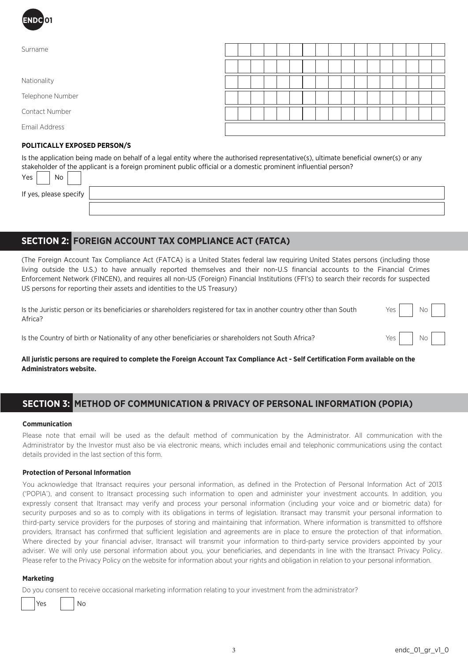

| Surname                      |  |  |  |  |  |  |  |  |  |
|------------------------------|--|--|--|--|--|--|--|--|--|
|                              |  |  |  |  |  |  |  |  |  |
| Nationality                  |  |  |  |  |  |  |  |  |  |
| Telephone Number             |  |  |  |  |  |  |  |  |  |
| Contact Number               |  |  |  |  |  |  |  |  |  |
| Email Address                |  |  |  |  |  |  |  |  |  |
| POLITICALLY EXPOSED PERSON/S |  |  |  |  |  |  |  |  |  |

Is the application being made on behalf of a legal entity where the authorised representative(s), ultimate beneficial owner(s) or any stakeholder of the applicant is a foreign prominent public official or a domestic prominent influential person?

If yes, please specify

 $Yes \mid \cdot \mid No$ 

# **SECTION 2: FOREIGN ACCOUNT TAX COMPLIANCE ACT (FATCA)**

(The Foreign Account Tax Compliance Act (FATCA) is a United States federal law requiring United States persons (including those living outside the U.S.) to have annually reported themselves and their non-U.S financial accounts to the Financial Crimes Enforcement Network (FINCEN), and requires all non-US (Foreign) Financial Institutions (FFI's) to search their records for suspected US persons for reporting their assets and identities to the US Treasury)

Is the Juristic person or its beneficiaries or shareholders registered for tax in another country other than South Africa?

| Yes | No |  |
|-----|----|--|
| Yes | No |  |

Is the Country of birth or Nationality of any other beneficiaries or shareholders not South Africa?

**All juristic persons are required to complete the Foreign Account Tax Compliance Act - Self Certification Form available on the Administrators website.**

# **SECTION 3: METHOD OF COMMUNICATION & PRIVACY OF PERSONAL INFORMATION (POPIA)**

### **Communication**

Please note that email will be used as the default method of communication by the Administrator. All communication with the Administrator by the Investor must also be via electronic means, which includes email and telephonic communications using the contact details provided in the last section of this form.

### **Protection of Personal Information**

You acknowledge that Itransact requires your personal information, as defined in the Protection of Personal Information Act of 2013 ('POPIA'), and consent to Itransact processing such information to open and administer your investment accounts. In addition, you expressly consent that Itransact may verify and process your personal information (including your voice and or biometric data) for security purposes and so as to comply with its obligations in terms of legislation. Itransact may transmit your personal information to third-party service providers for the purposes of storing and maintaining that information. Where information is transmitted to offshore providers, Itransact has confirmed that sufficient legislation and agreements are in place to ensure the protection of that information. Where directed by your financial adviser, Itransact will transmit your information to third-party service providers appointed by your adviser. We will only use personal information about you, your beneficiaries, and dependants in line with the Itransact Privacy Policy. Please refer to the Privacy Policy on the website for information about your rights and obligation in relation to your personal information.

### **Marketing**

Do you consent to receive occasional marketing information relating to your investment from the administrator?

Yes I INo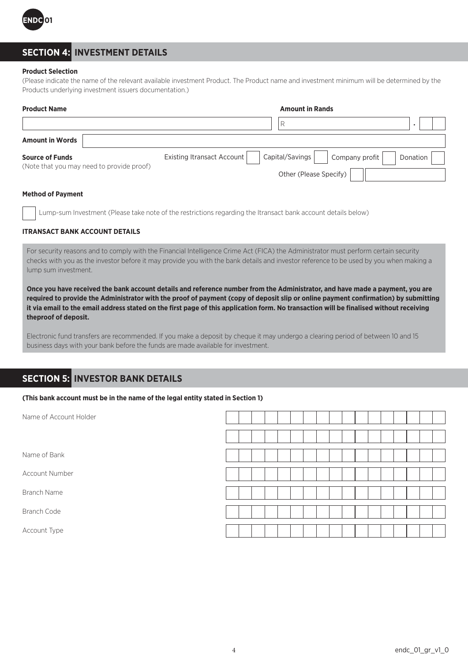

# **SECTION 4: INVESTMENT DETAILS**

### **Product Selection**

(Please indicate the name of the relevant available investment Product. The Product name and investment minimum will be determined by the Products underlying investment issuers documentation.)

| <b>Product Name</b>                                                 | <b>Amount in Rands</b>                                              |          |
|---------------------------------------------------------------------|---------------------------------------------------------------------|----------|
|                                                                     |                                                                     |          |
| <b>Amount in Words</b>                                              |                                                                     |          |
| <b>Source of Funds</b><br>(Note that you may need to provide proof) | Capital/Savings  <br>Existing Itransact Account<br>  Company profit | Donation |
|                                                                     | Other (Please Specify)                                              |          |

### **Method of Payment**

Lump-sum Investment (Please take note of the restrictions regarding the Itransact bank account details below)

### **ITRANSACT BANK ACCOUNT DETAILS**

For security reasons and to comply with the Financial Intelligence Crime Act (FICA) the Administrator must perform certain security checks with you as the investor before it may provide you with the bank details and investor reference to be used by you when making a lump sum investment.

**Once you have received the bank account details and reference number from the Administrator, and have made a payment, you are required to provide the Administrator with the proof of payment (copy of deposit slip or online payment confirmation) by submitting it via email to the email address stated on the first page of this application form. No transaction will be finalised without receiving theproof of deposit.**

Electronic fund transfers are recommended. If you make a deposit by cheque it may undergo a clearing period of between 10 and 15 business days with your bank before the funds are made available for investment.

### **SECTION 5: INVESTOR BANK DETAILS**

#### **(This bank account must be in the name of the legal entity stated in Section 1)**

| Name of Account Holder |  |  |  |  |  |  |  |  |  |
|------------------------|--|--|--|--|--|--|--|--|--|
|                        |  |  |  |  |  |  |  |  |  |
| Name of Bank           |  |  |  |  |  |  |  |  |  |
| Account Number         |  |  |  |  |  |  |  |  |  |
| <b>Branch Name</b>     |  |  |  |  |  |  |  |  |  |
| <b>Branch Code</b>     |  |  |  |  |  |  |  |  |  |
| Account Type           |  |  |  |  |  |  |  |  |  |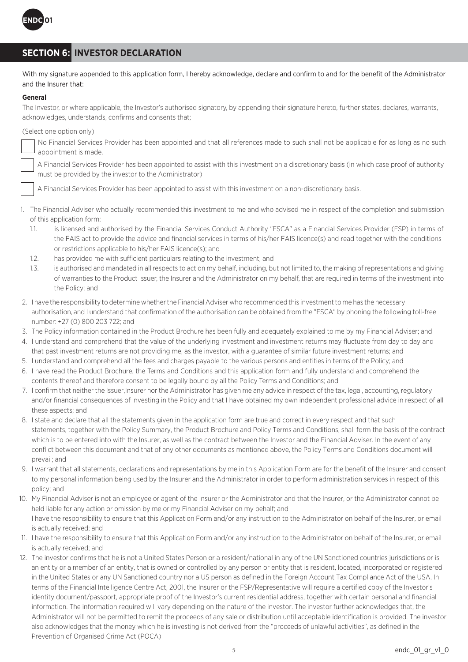

# **SECTION 6: INVESTOR DECLARATION**

With my signature appended to this application form, I hereby acknowledge, declare and confirm to and for the benefit of the Administrator and the Insurer that:

### **General**

The Investor, or where applicable, the Investor's authorised signatory, by appending their signature hereto, further states, declares, warrants, acknowledges, understands, confirms and consents that;

(Select one option only)

No Financial Services Provider has been appointed and that all references made to such shall not be applicable for as long as no such appointment is made.

A Financial Services Provider has been appointed to assist with this investment on a discretionary basis (in which case proof of authority must be provided by the investor to the Administrator)

A Financial Services Provider has been appointed to assist with this investment on a non-discretionary basis.

- 1. The Financial Adviser who actually recommended this investment to me and who advised me in respect of the completion and submission of this application form:
	- 1.1. is licensed and authorised by the Financial Services Conduct Authority "FSCA" as a Financial Services Provider (FSP) in terms of the FAIS act to provide the advice and financial services in terms of his/her FAIS licence(s) and read together with the conditions or restrictions applicable to his/her FAIS licence(s); and
	- 1.2. has provided me with sufficient particulars relating to the investment; and
	- 1.3. is authorised and mandated in all respects to act on my behalf, including, but not limited to, the making of representations and giving of warranties to the Product Issuer, the Insurer and the Administrator on my behalf, that are required in terms of the investment into the Policy; and
- 2. I have the responsibility to determine whether the Financial Adviser who recommended this investment to me has the necessary authorisation, and I understand that confirmation of the authorisation can be obtained from the "FSCA" by phoning the following toll-free number: +27 (0) 800 203 722; and
- 3. The Policy information contained in the Product Brochure has been fully and adequately explained to me by my Financial Adviser; and
- 4. I understand and comprehend that the value of the underlying investment and investment returns may fluctuate from day to day and that past investment returns are not providing me, as the investor, with a guarantee of similar future investment returns; and
- 5. I understand and comprehend all the fees and charges payable to the various persons and entities in terms of the Policy; and
- 6. I have read the Product Brochure, the Terms and Conditions and this application form and fully understand and comprehend the contents thereof and therefore consent to be legally bound by all the Policy Terms and Conditions; and
- 7. I confirm that neither the Issuer,Insurer nor the Administrator has given me any advice in respect of the tax, legal, accounting, regulatory and/or financial consequences of investing in the Policy and that I have obtained my own independent professional advice in respect of all these aspects; and
- 8. I state and declare that all the statements given in the application form are true and correct in every respect and that such statements, together with the Policy Summary, the Product Brochure and Policy Terms and Conditions, shall form the basis of the contract which is to be entered into with the Insurer, as well as the contract between the Investor and the Financial Adviser. In the event of any conflict between this document and that of any other documents as mentioned above, the Policy Terms and Conditions document will prevail; and
- 9. I warrant that all statements, declarations and representations by me in this Application Form are for the benefit of the Insurer and consent to my personal information being used by the Insurer and the Administrator in order to perform administration services in respect of this policy; and
- 10. My Financial Adviser is not an employee or agent of the Insurer or the Administrator and that the Insurer, or the Administrator cannot be held liable for any action or omission by me or my Financial Adviser on my behalf; and I have the responsibility to ensure that this Application Form and/or any instruction to the Administrator on behalf of the Insurer, or email is actually received; and
- 11. I have the responsibility to ensure that this Application Form and/or any instruction to the Administrator on behalf of the Insurer, or email is actually received; and
- 12. The investor confirms that he is not a United States Person or a resident/national in any of the UN Sanctioned countries jurisdictions or is an entity or a member of an entity, that is owned or controlled by any person or entity that is resident, located, incorporated or registered in the United States or any UN Sanctioned country nor a US person as defined in the Foreign Account Tax Compliance Act of the USA. In terms of the Financial Intelligence Centre Act, 2001, the Insurer or the FSP/Representative will require a certified copy of the Investor's identity document/passport, appropriate proof of the Investor's current residential address, together with certain personal and financial information. The information required will vary depending on the nature of the investor. The investor further acknowledges that, the Administrator will not be permitted to remit the proceeds of any sale or distribution until acceptable identification is provided. The investor also acknowledges that the money which he is investing is not derived from the "proceeds of unlawful activities", as defined in the Prevention of Organised Crime Act (POCA)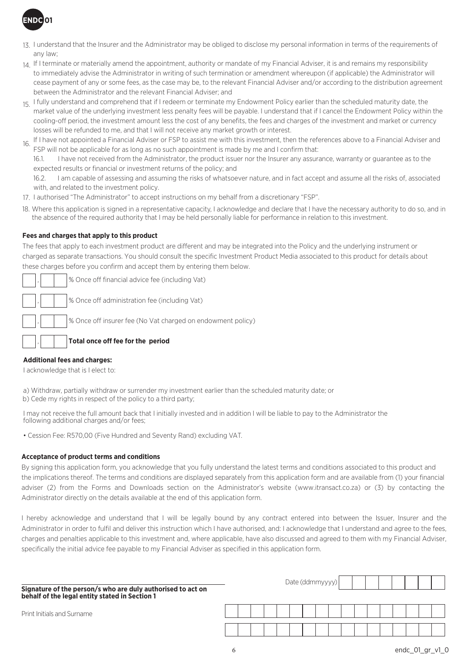

- 13. I understand that the Insurer and the Administrator may be obliged to disclose my personal information in terms of the requirements of any law;
- $_{14.}$  If I terminate or materially amend the appointment, authority or mandate of my Financial Adviser, it is and remains my responsibility to immediately advise the Administrator in writing of such termination or amendment whereupon (if applicable) the Administrator will cease payment of any or some fees, as the case may be, to the relevant Financial Adviser and/or according to the distribution agreement between the Administrator and the relevant Financial Adviser; and
- 15. I fully understand and comprehend that if I redeem or terminate my Endowment Policy earlier than the scheduled maturity date, the market value of the underlying investment less penalty fees will be payable. I understand that if I cancel the Endowment Policy within the cooling-off period, the investment amount less the cost of any benefits, the fees and charges of the investment and market or currency losses will be refunded to me, and that I will not receive any market growth or interest.
- If I have not appointed a Financial Adviser or FSP to assist me with this investment, then the references above to a Financial Adviser and FSP will not be applicable for as long as no such appointment is made by me and I confirm that: 16.

16.1. I have not received from the Administrator, the product issuer nor the Insurer any assurance, warranty or guarantee as to the expected results or financial or investment returns of the policy; and

16.2. I am capable of assessing and assuming the risks of whatsoever nature, and in fact accept and assume all the risks of, associated with, and related to the investment policy.

17. I authorised "The Administrator" to accept instructions on my behalf from a discretionary "FSP".

18. Where this application is signed in a representative capacity, I acknowledge and declare that I have the necessary authority to do so, and in the absence of the required authority that I may be held personally liable for performance in relation to this investment.

### **Fees and charges that apply to this product**

The fees that apply to each investment product are different and may be integrated into the Policy and the underlying instrument or charged as separate transactions. You should consult the specific Investment Product Media associated to this product for details about these charges before you confirm and accept them by entering them below.

| ,      % Once off financial advice fee (including Vat)                                                                      |
|-----------------------------------------------------------------------------------------------------------------------------|
| $\begin{bmatrix} 1 \\ 1 \end{bmatrix}$ $\begin{bmatrix} 0 \\ 1 \end{bmatrix}$ % Once off administration fee (including Vat) |
| ,      % Once off insurer fee (No Vat charged on endowment policy)                                                          |
|                                                                                                                             |

**Total once off fee for the period**

### **Additional fees and charges:**

,

I acknowledge that is I elect to:

a) Withdraw, partially withdraw or surrender my investment earlier than the scheduled maturity date; or b) Cede my rights in respect of the policy to a third party;

I may not receive the full amount back that I initially invested and in addition I will be liable to pay to the Administrator the following additional charges and/or fees;

• Cession Fee: R570,00 (Five Hundred and Seventy Rand) excluding VAT.

### **Acceptance of product terms and conditions**

By signing this application form, you acknowledge that you fully understand the latest terms and conditions associated to this product and the implications thereof. The terms and conditions are displayed separately from this application form and are available from (1) your financial adviser (2) from the Forms and Downloads section on the Administrator's website (www.itransact.co.za) or (3) by contacting the Administrator directly on the details available at the end of this application form.

I hereby acknowledge and understand that I will be legally bound by any contract entered into between the Issuer, Insurer and the Administrator in order to fulfil and deliver this instruction which I have authorised, and: I acknowledge that I understand and agree to the fees, charges and penalties applicable to this investment and, where applicable, have also discussed and agreed to them with my Financial Adviser, specifically the initial advice fee payable to my Financial Adviser as specified in this application form.

| Signature of the person/s who are duly authorised to act on<br>behalf of the legal entity stated in Section 1 | Date $(ddmmyyy)$ |  |  |  |  |  |  |  |  |  |  |  |  |  |  |
|---------------------------------------------------------------------------------------------------------------|------------------|--|--|--|--|--|--|--|--|--|--|--|--|--|--|
| Print Initials and Surname                                                                                    |                  |  |  |  |  |  |  |  |  |  |  |  |  |  |  |
|                                                                                                               |                  |  |  |  |  |  |  |  |  |  |  |  |  |  |  |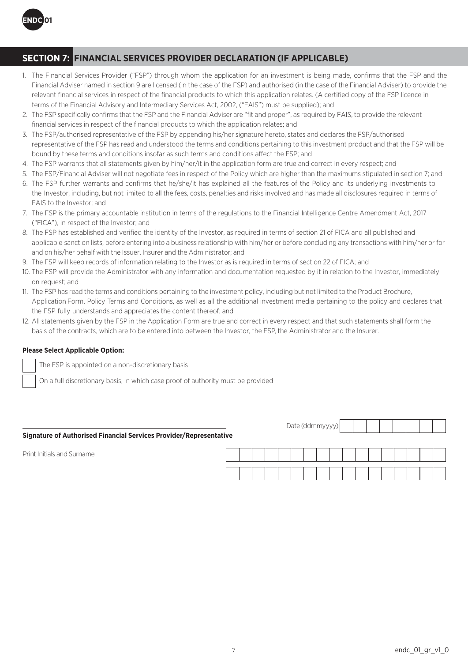

# **SECTION 7: FINANCIAL SERVICES PROVIDER DECLARATION (IF APPLICABLE)**

- 1. The Financial Services Provider ("FSP") through whom the application for an investment is being made, confirms that the FSP and the Financial Adviser named in section 9 are licensed (in the case of the FSP) and authorised (in the case of the Financial Adviser) to provide the relevant financial services in respect of the financial products to which this application relates. (A certified copy of the FSP licence in terms of the Financial Advisory and Intermediary Services Act, 2002, ("FAIS") must be supplied); and
- 2. The FSP specifically confirms that the FSP and the Financial Adviser are "fit and proper", as required by FAIS, to provide the relevant financial services in respect of the financial products to which the application relates; and
- 3. The FSP/authorised representative of the FSP by appending his/her signature hereto, states and declares the FSP/authorised representative of the FSP has read and understood the terms and conditions pertaining to this investment product and that the FSP will be bound by these terms and conditions insofar as such terms and conditions affect the FSP; and
- 4. The FSP warrants that all statements given by him/her/it in the application form are true and correct in every respect; and
- 5. The FSP/Financial Adviser will not negotiate fees in respect of the Policy which are higher than the maximums stipulated in section 7; and
- 6. The FSP further warrants and confirms that he/she/it has explained all the features of the Policy and its underlying investments to the Investor, including, but not limited to all the fees, costs, penalties and risks involved and has made all disclosures required in terms of FAIS to the Investor; and
- 7. The FSP is the primary accountable institution in terms of the regulations to the Financial Intelligence Centre Amendment Act, 2017 ("FICA"), in respect of the Investor; and
- 8. The FSP has established and verified the identity of the Investor, as required in terms of section 21 of FICA and all published and applicable sanction lists, before entering into a business relationship with him/her or before concluding any transactions with him/her or for and on his/her behalf with the Issuer, Insurer and the Administrator; and
- 9. The FSP will keep records of information relating to the Investor as is required in terms of section 22 of FICA; and
- 10. The FSP will provide the Administrator with any information and documentation requested by it in relation to the Investor, immediately on request; and
- 11. The FSP has read the terms and conditions pertaining to the investment policy, including but not limited to the Product Brochure, Application Form, Policy Terms and Conditions, as well as all the additional investment media pertaining to the policy and declares that the FSP fully understands and appreciates the content thereof; and
- 12. All statements given by the FSP in the Application Form are true and correct in every respect and that such statements shall form the basis of the contracts, which are to be entered into between the Investor, the FSP, the Administrator and the Insurer.

### **Please Select Applicable Option:**

The FSP is appointed on a non-discretionary basis

On a full discretionary basis, in which case proof of authority must be provided

| <b>Signature of Authorised Financial Services Provider/Representative</b> |  |  | Date (ddmmyyyy) |  |  |  |  |  |  |
|---------------------------------------------------------------------------|--|--|-----------------|--|--|--|--|--|--|
| Print Initials and Surname                                                |  |  |                 |  |  |  |  |  |  |
|                                                                           |  |  |                 |  |  |  |  |  |  |